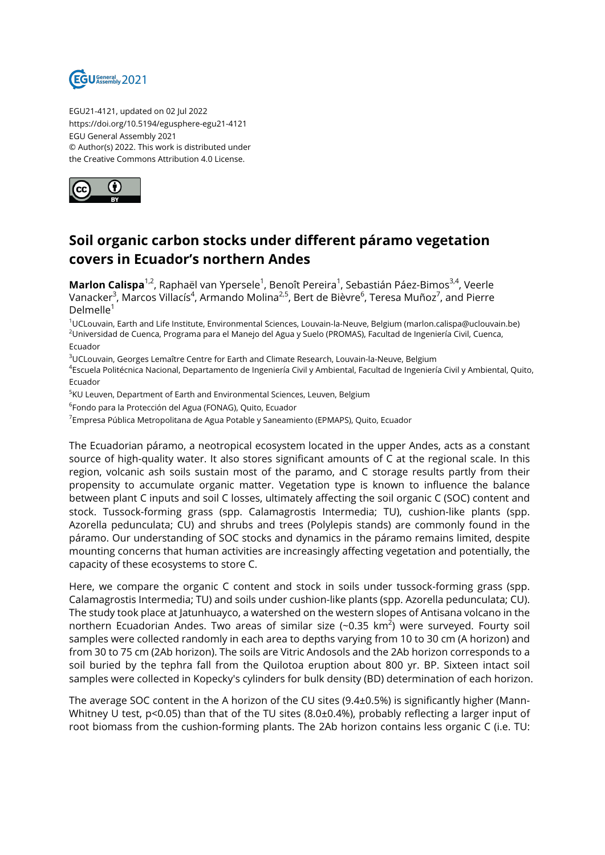

EGU21-4121, updated on 02 Jul 2022 https://doi.org/10.5194/egusphere-egu21-4121 EGU General Assembly 2021 © Author(s) 2022. This work is distributed under the Creative Commons Attribution 4.0 License.



## **Soil organic carbon stocks under different páramo vegetation covers in Ecuador's northern Andes**

**Marlon Calispa**<sup>1,2</sup>, Raphaël van Ypersele<sup>1</sup>, Benoît Pereira<sup>1</sup>, Sebastián Páez-Bimos<sup>3,4</sup>, Veerle Vanacker<sup>3</sup>, Marcos Villacís<sup>4</sup>, Armando Molina<sup>2,5</sup>, Bert de Bièvre<sup>6</sup>, Teresa Muñoz<sup>7</sup>, and Pierre  $D$ elmelle $1$ 

<sup>1</sup>UCLouvain, Earth and Life Institute, Environmental Sciences, Louvain-la-Neuve, Belgium (marlon.calispa@uclouvain.be) <sup>2</sup>Universidad de Cuenca, Programa para el Manejo del Agua y Suelo (PROMAS), Facultad de Ingeniería Civil, Cuenca, Ecuador

<sup>3</sup>UCLouvain, Georges Lemaître Centre for Earth and Climate Research, Louvain-la-Neuve, Belgium

4 Escuela Politécnica Nacional, Departamento de Ingeniería Civil y Ambiental, Facultad de Ingeniería Civil y Ambiental, Quito, Ecuador

<sup>5</sup>KU Leuven, Department of Earth and Environmental Sciences, Leuven, Belgium

 $^6$ Fondo para la Protección del Agua (FONAG), Quito, Ecuador

 $^7$ Empresa Pública Metropolitana de Agua Potable y Saneamiento (EPMAPS), Quito, Ecuador

The Ecuadorian páramo, a neotropical ecosystem located in the upper Andes, acts as a constant source of high-quality water. It also stores significant amounts of C at the regional scale. In this region, volcanic ash soils sustain most of the paramo, and C storage results partly from their propensity to accumulate organic matter. Vegetation type is known to influence the balance between plant C inputs and soil C losses, ultimately affecting the soil organic C (SOC) content and stock. Tussock-forming grass (spp. Calamagrostis Intermedia; TU), cushion-like plants (spp. Azorella pedunculata; CU) and shrubs and trees (Polylepis stands) are commonly found in the páramo. Our understanding of SOC stocks and dynamics in the páramo remains limited, despite mounting concerns that human activities are increasingly affecting vegetation and potentially, the capacity of these ecosystems to store C.

Here, we compare the organic C content and stock in soils under tussock-forming grass (spp. Calamagrostis Intermedia; TU) and soils under cushion-like plants (spp. Azorella pedunculata; CU). The study took place at Jatunhuayco, a watershed on the western slopes of Antisana volcano in the northern Ecuadorian Andes. Two areas of similar size (~0.35 km $^2$ ) were surveyed. Fourty soil samples were collected randomly in each area to depths varying from 10 to 30 cm (A horizon) and from 30 to 75 cm (2Ab horizon). The soils are Vitric Andosols and the 2Ab horizon corresponds to a soil buried by the tephra fall from the Quilotoa eruption about 800 yr. BP. Sixteen intact soil samples were collected in Kopecky's cylinders for bulk density (BD) determination of each horizon.

The average SOC content in the A horizon of the CU sites (9.4±0.5%) is significantly higher (Mann-Whitney U test, p<0.05) than that of the TU sites (8.0±0.4%), probably reflecting a larger input of root biomass from the cushion-forming plants. The 2Ab horizon contains less organic C (i.e. TU: